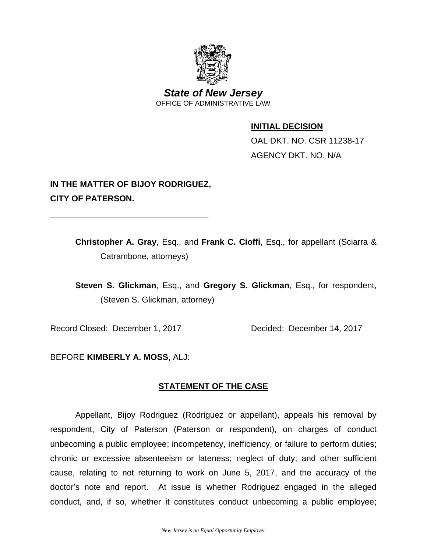

*State of New Jersey* OFFICE OF ADMINISTRATIVE LAW

### **INITIAL DECISION**

OAL DKT. NO. CSR 11238-17 AGENCY DKT. NO. N/A

# **IN THE MATTER OF BIJOY RODRIGUEZ, CITY OF PATERSON.**

\_\_\_\_\_\_\_\_\_\_\_\_\_\_\_\_\_\_\_\_\_\_\_\_\_\_\_\_\_\_\_\_\_\_

**Christopher A. Gray**, Esq., and **Frank C. Cioffi**, Esq., for appellant (Sciarra & Catrambone, attorneys)

**Steven S. Glickman**, Esq., and **Gregory S. Glickman**, Esq., for respondent, (Steven S. Glickman, attorney)

Record Closed: December 1, 2017 Decided: December 14, 2017

BEFORE **KIMBERLY A. MOSS**, ALJ:

# **STATEMENT OF THE CASE**

Appellant, Bijoy Rodriguez (Rodriguez or appellant), appeals his removal by respondent, City of Paterson (Paterson or respondent), on charges of conduct unbecoming a public employee; incompetency, inefficiency, or failure to perform duties; chronic or excessive absenteeism or lateness; neglect of duty; and other sufficient cause, relating to not returning to work on June 5, 2017, and the accuracy of the doctor's note and report. At issue is whether Rodriguez engaged in the alleged conduct, and, if so, whether it constitutes conduct unbecoming a public employee;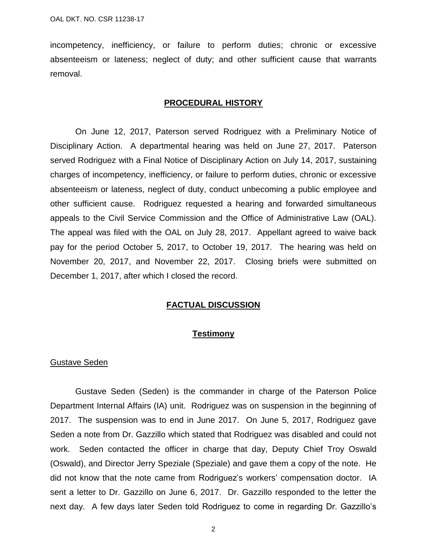incompetency, inefficiency, or failure to perform duties; chronic or excessive absenteeism or lateness; neglect of duty; and other sufficient cause that warrants removal.

#### **PROCEDURAL HISTORY**

On June 12, 2017, Paterson served Rodriguez with a Preliminary Notice of Disciplinary Action. A departmental hearing was held on June 27, 2017. Paterson served Rodriguez with a Final Notice of Disciplinary Action on July 14, 2017, sustaining charges of incompetency, inefficiency, or failure to perform duties, chronic or excessive absenteeism or lateness, neglect of duty, conduct unbecoming a public employee and other sufficient cause. Rodriguez requested a hearing and forwarded simultaneous appeals to the Civil Service Commission and the Office of Administrative Law (OAL). The appeal was filed with the OAL on July 28, 2017. Appellant agreed to waive back pay for the period October 5, 2017, to October 19, 2017. The hearing was held on November 20, 2017, and November 22, 2017. Closing briefs were submitted on December 1, 2017, after which I closed the record.

#### **FACTUAL DISCUSSION**

#### **Testimony**

#### Gustave Seden

Gustave Seden (Seden) is the commander in charge of the Paterson Police Department Internal Affairs (IA) unit. Rodriguez was on suspension in the beginning of 2017. The suspension was to end in June 2017. On June 5, 2017, Rodriguez gave Seden a note from Dr. Gazzillo which stated that Rodriguez was disabled and could not work. Seden contacted the officer in charge that day, Deputy Chief Troy Oswald (Oswald), and Director Jerry Speziale (Speziale) and gave them a copy of the note. He did not know that the note came from Rodriguez's workers' compensation doctor. IA sent a letter to Dr. Gazzillo on June 6, 2017. Dr. Gazzillo responded to the letter the next day. A few days later Seden told Rodriguez to come in regarding Dr. Gazzillo's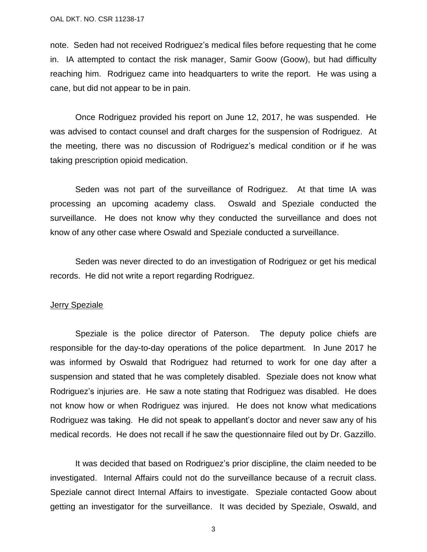note. Seden had not received Rodriguez's medical files before requesting that he come in. IA attempted to contact the risk manager, Samir Goow (Goow), but had difficulty reaching him. Rodriguez came into headquarters to write the report. He was using a cane, but did not appear to be in pain.

Once Rodriguez provided his report on June 12, 2017, he was suspended. He was advised to contact counsel and draft charges for the suspension of Rodriguez. At the meeting, there was no discussion of Rodriguez's medical condition or if he was taking prescription opioid medication.

Seden was not part of the surveillance of Rodriguez. At that time IA was processing an upcoming academy class. Oswald and Speziale conducted the surveillance. He does not know why they conducted the surveillance and does not know of any other case where Oswald and Speziale conducted a surveillance.

Seden was never directed to do an investigation of Rodriguez or get his medical records. He did not write a report regarding Rodriguez.

#### Jerry Speziale

Speziale is the police director of Paterson. The deputy police chiefs are responsible for the day-to-day operations of the police department. In June 2017 he was informed by Oswald that Rodriguez had returned to work for one day after a suspension and stated that he was completely disabled. Speziale does not know what Rodriguez's injuries are. He saw a note stating that Rodriguez was disabled. He does not know how or when Rodriguez was injured. He does not know what medications Rodriguez was taking. He did not speak to appellant's doctor and never saw any of his medical records. He does not recall if he saw the questionnaire filed out by Dr. Gazzillo.

It was decided that based on Rodriguez's prior discipline, the claim needed to be investigated. Internal Affairs could not do the surveillance because of a recruit class. Speziale cannot direct Internal Affairs to investigate. Speziale contacted Goow about getting an investigator for the surveillance. It was decided by Speziale, Oswald, and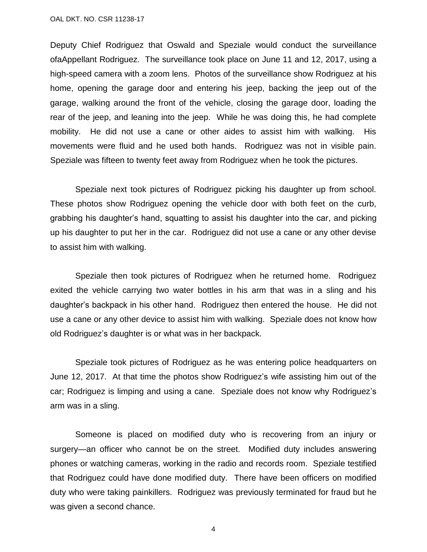Deputy Chief Rodriguez that Oswald and Speziale would conduct the surveillance ofaAppellant Rodriguez. The surveillance took place on June 11 and 12, 2017, using a high-speed camera with a zoom lens. Photos of the surveillance show Rodriguez at his home, opening the garage door and entering his jeep, backing the jeep out of the garage, walking around the front of the vehicle, closing the garage door, loading the rear of the jeep, and leaning into the jeep. While he was doing this, he had complete mobility. He did not use a cane or other aides to assist him with walking. His movements were fluid and he used both hands. Rodriguez was not in visible pain. Speziale was fifteen to twenty feet away from Rodriguez when he took the pictures.

Speziale next took pictures of Rodriguez picking his daughter up from school. These photos show Rodriguez opening the vehicle door with both feet on the curb, grabbing his daughter's hand, squatting to assist his daughter into the car, and picking up his daughter to put her in the car. Rodriguez did not use a cane or any other devise to assist him with walking.

Speziale then took pictures of Rodriguez when he returned home. Rodriguez exited the vehicle carrying two water bottles in his arm that was in a sling and his daughter's backpack in his other hand. Rodriguez then entered the house. He did not use a cane or any other device to assist him with walking. Speziale does not know how old Rodriguez's daughter is or what was in her backpack.

Speziale took pictures of Rodriguez as he was entering police headquarters on June 12, 2017. At that time the photos show Rodriguez's wife assisting him out of the car; Rodriguez is limping and using a cane. Speziale does not know why Rodriguez's arm was in a sling.

Someone is placed on modified duty who is recovering from an injury or surgery—an officer who cannot be on the street. Modified duty includes answering phones or watching cameras, working in the radio and records room. Speziale testified that Rodriguez could have done modified duty. There have been officers on modified duty who were taking painkillers. Rodriguez was previously terminated for fraud but he was given a second chance.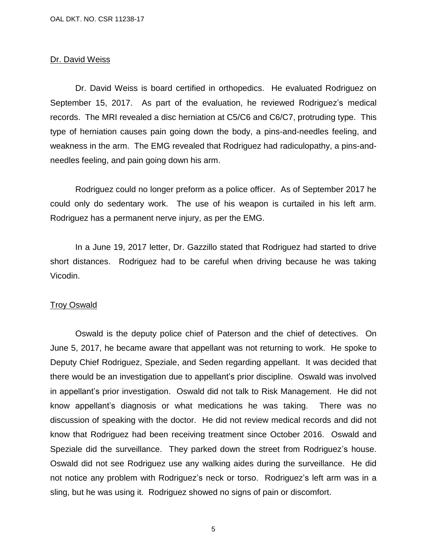#### Dr. David Weiss

Dr. David Weiss is board certified in orthopedics. He evaluated Rodriguez on September 15, 2017. As part of the evaluation, he reviewed Rodriguez's medical records. The MRI revealed a disc herniation at C5/C6 and C6/C7, protruding type. This type of herniation causes pain going down the body, a pins-and-needles feeling, and weakness in the arm. The EMG revealed that Rodriguez had radiculopathy, a pins-andneedles feeling, and pain going down his arm.

Rodriguez could no longer preform as a police officer. As of September 2017 he could only do sedentary work. The use of his weapon is curtailed in his left arm. Rodriguez has a permanent nerve injury, as per the EMG.

In a June 19, 2017 letter, Dr. Gazzillo stated that Rodriguez had started to drive short distances. Rodriguez had to be careful when driving because he was taking Vicodin.

#### Troy Oswald

Oswald is the deputy police chief of Paterson and the chief of detectives. On June 5, 2017, he became aware that appellant was not returning to work. He spoke to Deputy Chief Rodriguez, Speziale, and Seden regarding appellant. It was decided that there would be an investigation due to appellant's prior discipline. Oswald was involved in appellant's prior investigation. Oswald did not talk to Risk Management. He did not know appellant's diagnosis or what medications he was taking. There was no discussion of speaking with the doctor. He did not review medical records and did not know that Rodriguez had been receiving treatment since October 2016. Oswald and Speziale did the surveillance. They parked down the street from Rodriguez's house. Oswald did not see Rodriguez use any walking aides during the surveillance. He did not notice any problem with Rodriguez's neck or torso. Rodriguez's left arm was in a sling, but he was using it. Rodriguez showed no signs of pain or discomfort.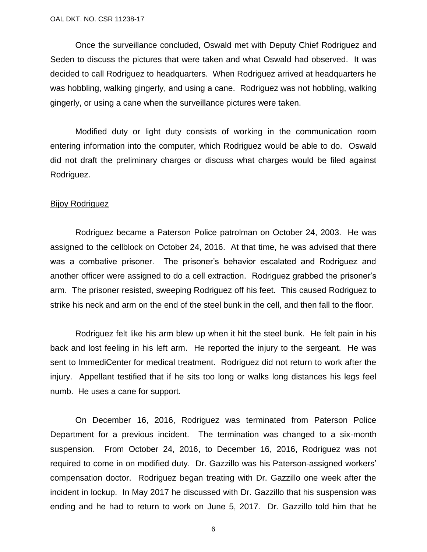Once the surveillance concluded, Oswald met with Deputy Chief Rodriguez and Seden to discuss the pictures that were taken and what Oswald had observed. It was decided to call Rodriguez to headquarters. When Rodriguez arrived at headquarters he was hobbling, walking gingerly, and using a cane. Rodriguez was not hobbling, walking gingerly, or using a cane when the surveillance pictures were taken.

Modified duty or light duty consists of working in the communication room entering information into the computer, which Rodriguez would be able to do. Oswald did not draft the preliminary charges or discuss what charges would be filed against Rodriguez.

#### Bijoy Rodriguez

Rodriguez became a Paterson Police patrolman on October 24, 2003. He was assigned to the cellblock on October 24, 2016. At that time, he was advised that there was a combative prisoner. The prisoner's behavior escalated and Rodriguez and another officer were assigned to do a cell extraction. Rodriguez grabbed the prisoner's arm. The prisoner resisted, sweeping Rodriguez off his feet. This caused Rodriguez to strike his neck and arm on the end of the steel bunk in the cell, and then fall to the floor.

Rodriguez felt like his arm blew up when it hit the steel bunk. He felt pain in his back and lost feeling in his left arm. He reported the injury to the sergeant. He was sent to ImmediCenter for medical treatment. Rodriguez did not return to work after the injury. Appellant testified that if he sits too long or walks long distances his legs feel numb. He uses a cane for support.

On December 16, 2016, Rodriguez was terminated from Paterson Police Department for a previous incident. The termination was changed to a six-month suspension. From October 24, 2016, to December 16, 2016, Rodriguez was not required to come in on modified duty. Dr. Gazzillo was his Paterson-assigned workers' compensation doctor. Rodriguez began treating with Dr. Gazzillo one week after the incident in lockup. In May 2017 he discussed with Dr. Gazzillo that his suspension was ending and he had to return to work on June 5, 2017. Dr. Gazzillo told him that he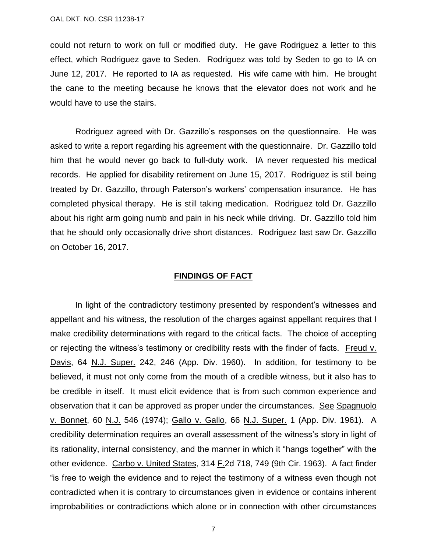could not return to work on full or modified duty. He gave Rodriguez a letter to this effect, which Rodriguez gave to Seden. Rodriguez was told by Seden to go to IA on June 12, 2017. He reported to IA as requested. His wife came with him. He brought the cane to the meeting because he knows that the elevator does not work and he would have to use the stairs.

Rodriguez agreed with Dr. Gazzillo's responses on the questionnaire. He was asked to write a report regarding his agreement with the questionnaire. Dr. Gazzillo told him that he would never go back to full-duty work. IA never requested his medical records. He applied for disability retirement on June 15, 2017. Rodriguez is still being treated by Dr. Gazzillo, through Paterson's workers' compensation insurance. He has completed physical therapy. He is still taking medication. Rodriguez told Dr. Gazzillo about his right arm going numb and pain in his neck while driving. Dr. Gazzillo told him that he should only occasionally drive short distances. Rodriguez last saw Dr. Gazzillo on October 16, 2017.

#### **FINDINGS OF FACT**

In light of the contradictory testimony presented by respondent's witnesses and appellant and his witness, the resolution of the charges against appellant requires that I make credibility determinations with regard to the critical facts. The choice of accepting or rejecting the witness's testimony or credibility rests with the finder of facts. Freud v. Davis, 64 N.J. Super. 242, 246 (App. Div. 1960). In addition, for testimony to be believed, it must not only come from the mouth of a credible witness, but it also has to be credible in itself. It must elicit evidence that is from such common experience and observation that it can be approved as proper under the circumstances. See Spagnuolo v. Bonnet, 60 N.J. 546 (1974); Gallo v. Gallo, 66 N.J. Super. 1 (App. Div. 1961). A credibility determination requires an overall assessment of the witness's story in light of its rationality, internal consistency, and the manner in which it "hangs together" with the other evidence. Carbo v. United States, 314 F.2d 718, 749 (9th Cir. 1963). A fact finder "is free to weigh the evidence and to reject the testimony of a witness even though not contradicted when it is contrary to circumstances given in evidence or contains inherent improbabilities or contradictions which alone or in connection with other circumstances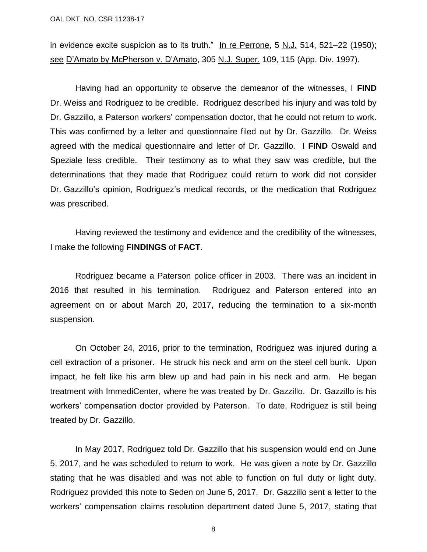OAL DKT. NO. CSR 11238-17

in evidence excite suspicion as to its truth." In re Perrone, 5 N.J*.* 514, 521–22 (1950); see D'Amato by McPherson v. D'Amato, 305 N.J. Super. 109, 115 (App. Div. 1997).

Having had an opportunity to observe the demeanor of the witnesses, I **FIND** Dr. Weiss and Rodriguez to be credible. Rodriguez described his injury and was told by Dr. Gazzillo, a Paterson workers' compensation doctor, that he could not return to work. This was confirmed by a letter and questionnaire filed out by Dr. Gazzillo. Dr. Weiss agreed with the medical questionnaire and letter of Dr. Gazzillo. I **FIND** Oswald and Speziale less credible. Their testimony as to what they saw was credible, but the determinations that they made that Rodriguez could return to work did not consider Dr. Gazzillo's opinion, Rodriguez's medical records, or the medication that Rodriguez was prescribed.

Having reviewed the testimony and evidence and the credibility of the witnesses, I make the following **FINDINGS** of **FACT**.

Rodriguez became a Paterson police officer in 2003. There was an incident in 2016 that resulted in his termination. Rodriguez and Paterson entered into an agreement on or about March 20, 2017, reducing the termination to a six-month suspension.

On October 24, 2016, prior to the termination, Rodriguez was injured during a cell extraction of a prisoner. He struck his neck and arm on the steel cell bunk. Upon impact, he felt like his arm blew up and had pain in his neck and arm. He began treatment with ImmediCenter, where he was treated by Dr. Gazzillo. Dr. Gazzillo is his workers' compensation doctor provided by Paterson. To date, Rodriguez is still being treated by Dr. Gazzillo.

In May 2017, Rodriguez told Dr. Gazzillo that his suspension would end on June 5, 2017, and he was scheduled to return to work. He was given a note by Dr. Gazzillo stating that he was disabled and was not able to function on full duty or light duty. Rodriguez provided this note to Seden on June 5, 2017. Dr. Gazzillo sent a letter to the workers' compensation claims resolution department dated June 5, 2017, stating that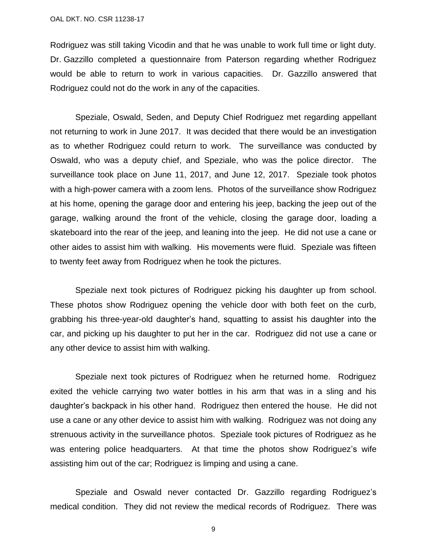Rodriguez was still taking Vicodin and that he was unable to work full time or light duty. Dr. Gazzillo completed a questionnaire from Paterson regarding whether Rodriguez would be able to return to work in various capacities. Dr. Gazzillo answered that Rodriguez could not do the work in any of the capacities.

Speziale, Oswald, Seden, and Deputy Chief Rodriguez met regarding appellant not returning to work in June 2017. It was decided that there would be an investigation as to whether Rodriguez could return to work. The surveillance was conducted by Oswald, who was a deputy chief, and Speziale, who was the police director. The surveillance took place on June 11, 2017, and June 12, 2017. Speziale took photos with a high-power camera with a zoom lens. Photos of the surveillance show Rodriguez at his home, opening the garage door and entering his jeep, backing the jeep out of the garage, walking around the front of the vehicle, closing the garage door, loading a skateboard into the rear of the jeep, and leaning into the jeep. He did not use a cane or other aides to assist him with walking. His movements were fluid. Speziale was fifteen to twenty feet away from Rodriguez when he took the pictures.

Speziale next took pictures of Rodriguez picking his daughter up from school. These photos show Rodriguez opening the vehicle door with both feet on the curb, grabbing his three-year-old daughter's hand, squatting to assist his daughter into the car, and picking up his daughter to put her in the car. Rodriguez did not use a cane or any other device to assist him with walking.

Speziale next took pictures of Rodriguez when he returned home. Rodriguez exited the vehicle carrying two water bottles in his arm that was in a sling and his daughter's backpack in his other hand. Rodriguez then entered the house. He did not use a cane or any other device to assist him with walking. Rodriguez was not doing any strenuous activity in the surveillance photos. Speziale took pictures of Rodriguez as he was entering police headquarters. At that time the photos show Rodriguez's wife assisting him out of the car; Rodriguez is limping and using a cane.

Speziale and Oswald never contacted Dr. Gazzillo regarding Rodriguez's medical condition. They did not review the medical records of Rodriguez. There was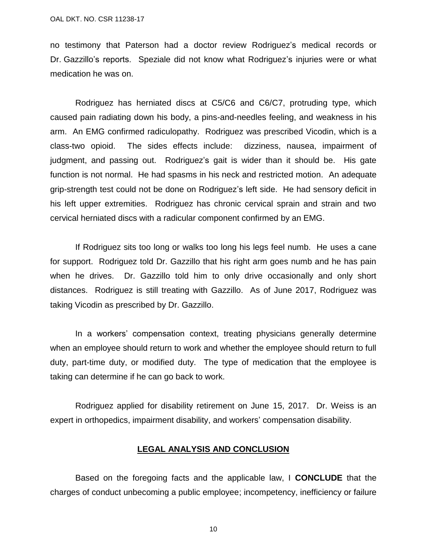no testimony that Paterson had a doctor review Rodriguez's medical records or Dr. Gazzillo's reports. Speziale did not know what Rodriguez's injuries were or what medication he was on.

Rodriguez has herniated discs at C5/C6 and C6/C7, protruding type, which caused pain radiating down his body, a pins-and-needles feeling, and weakness in his arm. An EMG confirmed radiculopathy. Rodriguez was prescribed Vicodin, which is a class-two opioid. The sides effects include: dizziness, nausea, impairment of judgment, and passing out. Rodriguez's gait is wider than it should be. His gate function is not normal. He had spasms in his neck and restricted motion. An adequate grip-strength test could not be done on Rodriguez's left side. He had sensory deficit in his left upper extremities. Rodriguez has chronic cervical sprain and strain and two cervical herniated discs with a radicular component confirmed by an EMG.

If Rodriguez sits too long or walks too long his legs feel numb. He uses a cane for support. Rodriguez told Dr. Gazzillo that his right arm goes numb and he has pain when he drives. Dr. Gazzillo told him to only drive occasionally and only short distances. Rodriguez is still treating with Gazzillo. As of June 2017, Rodriguez was taking Vicodin as prescribed by Dr. Gazzillo.

In a workers' compensation context, treating physicians generally determine when an employee should return to work and whether the employee should return to full duty, part-time duty, or modified duty. The type of medication that the employee is taking can determine if he can go back to work.

Rodriguez applied for disability retirement on June 15, 2017. Dr. Weiss is an expert in orthopedics, impairment disability, and workers' compensation disability.

#### **LEGAL ANALYSIS AND CONCLUSION**

Based on the foregoing facts and the applicable law, I **CONCLUDE** that the charges of conduct unbecoming a public employee; incompetency, inefficiency or failure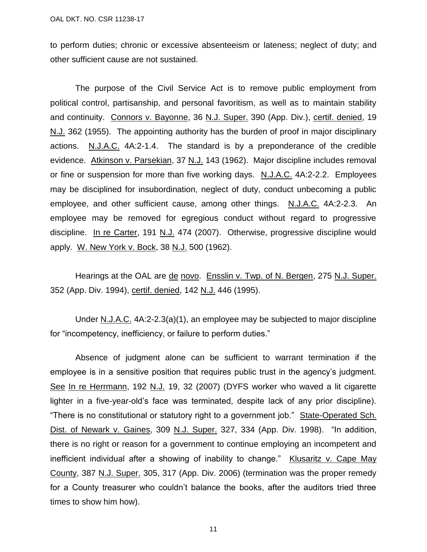to perform duties; chronic or excessive absenteeism or lateness; neglect of duty; and other sufficient cause are not sustained.

The purpose of the Civil Service Act is to remove public employment from political control, partisanship, and personal favoritism, as well as to maintain stability and continuity. Connors v. Bayonne, 36 N.J. Super. 390 (App. Div.), certif. denied, 19 N.J. 362 (1955). The appointing authority has the burden of proof in major disciplinary actions. N.J.A.C. 4A:2-1.4. The standard is by a preponderance of the credible evidence. Atkinson v. Parsekian, 37 N.J. 143 (1962). Major discipline includes removal or fine or suspension for more than five working days. N.J.A.C. 4A:2-2.2. Employees may be disciplined for insubordination, neglect of duty, conduct unbecoming a public employee, and other sufficient cause, among other things. N.J.A.C. 4A:2-2.3. An employee may be removed for egregious conduct without regard to progressive discipline. In re Carter, 191 N.J. 474 (2007). Otherwise, progressive discipline would apply. W. New York v. Bock, 38 N.J. 500 (1962).

Hearings at the OAL are de novo. Ensslin v. Twp. of N. Bergen, 275 N.J. Super. 352 (App. Div. 1994), certif. denied, 142 N.J. 446 (1995).

Under N.J.A.C. 4A:2-2.3(a)(1), an employee may be subjected to major discipline for "incompetency, inefficiency, or failure to perform duties."

Absence of judgment alone can be sufficient to warrant termination if the employee is in a sensitive position that requires public trust in the agency's judgment. See In re Herrmann, 192 N.J. 19, 32 (2007) (DYFS worker who waved a lit cigarette lighter in a five-year-old's face was terminated, despite lack of any prior discipline). "There is no constitutional or statutory right to a government job." State-Operated Sch. Dist. of Newark v. Gaines, 309 N.J. Super. 327, 334 (App. Div. 1998). "In addition, there is no right or reason for a government to continue employing an incompetent and inefficient individual after a showing of inability to change." Klusaritz v. Cape May County, 387 N.J. Super. 305, 317 (App. Div. 2006) (termination was the proper remedy for a County treasurer who couldn't balance the books, after the auditors tried three times to show him how).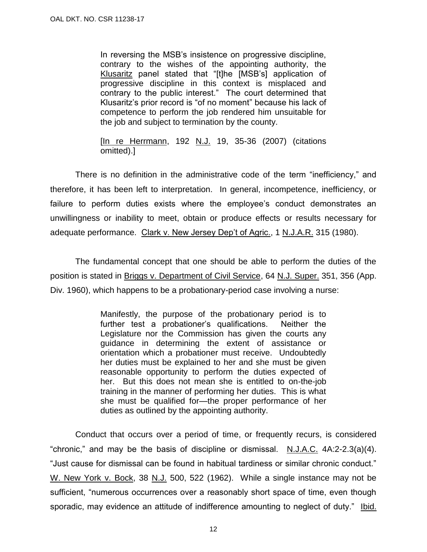In reversing the MSB's insistence on progressive discipline, contrary to the wishes of the appointing authority, the Klusaritz panel stated that "[t]he [MSB's] application of progressive discipline in this context is misplaced and contrary to the public interest." The court determined that Klusaritz's prior record is "of no moment" because his lack of competence to perform the job rendered him unsuitable for the job and subject to termination by the county.

[In re Herrmann, 192 N.J. 19, 35-36 (2007) (citations omitted).]

There is no definition in the administrative code of the term "inefficiency," and therefore, it has been left to interpretation. In general, incompetence, inefficiency, or failure to perform duties exists where the employee's conduct demonstrates an unwillingness or inability to meet, obtain or produce effects or results necessary for adequate performance. Clark v. New Jersey Dep't of Agric., 1 N.J.A.R. 315 (1980).

The fundamental concept that one should be able to perform the duties of the position is stated in Briggs v. Department of Civil Service, 64 N.J. Super. 351, 356 (App. Div. 1960), which happens to be a probationary-period case involving a nurse:

> Manifestly, the purpose of the probationary period is to further test a probationer's qualifications. Neither the Legislature nor the Commission has given the courts any guidance in determining the extent of assistance or orientation which a probationer must receive. Undoubtedly her duties must be explained to her and she must be given reasonable opportunity to perform the duties expected of her. But this does not mean she is entitled to on-the-job training in the manner of performing her duties. This is what she must be qualified for—the proper performance of her duties as outlined by the appointing authority.

Conduct that occurs over a period of time, or frequently recurs, is considered "chronic," and may be the basis of discipline or dismissal.  $N.L.A.C.$   $4A:2-2.3(a)(4)$ . "Just cause for dismissal can be found in habitual tardiness or similar chronic conduct." W. New York v. Bock, 38 N.J. 500, 522 (1962). While a single instance may not be sufficient, "numerous occurrences over a reasonably short space of time, even though sporadic, may evidence an attitude of indifference amounting to neglect of duty." Ibid.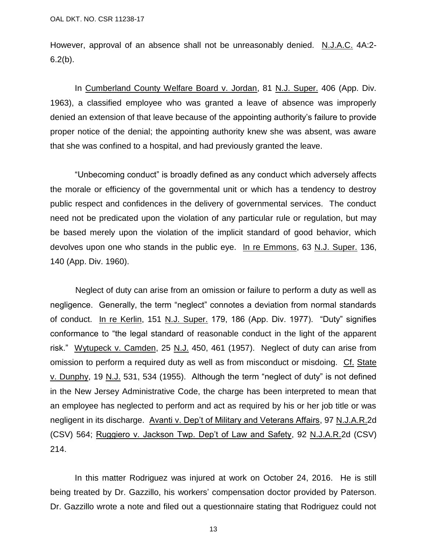However, approval of an absence shall not be unreasonably denied. N.J.A.C. 4A:2- $6.2(b)$ .

In Cumberland County Welfare Board v. Jordan, 81 N.J. Super. 406 (App. Div. 1963), a classified employee who was granted a leave of absence was improperly denied an extension of that leave because of the appointing authority's failure to provide proper notice of the denial; the appointing authority knew she was absent, was aware that she was confined to a hospital, and had previously granted the leave.

"Unbecoming conduct" is broadly defined as any conduct which adversely affects the morale or efficiency of the governmental unit or which has a tendency to destroy public respect and confidences in the delivery of governmental services. The conduct need not be predicated upon the violation of any particular rule or regulation, but may be based merely upon the violation of the implicit standard of good behavior, which devolves upon one who stands in the public eye. In re Emmons, 63 N.J. Super. 136, 140 (App. Div. 1960).

Neglect of duty can arise from an omission or failure to perform a duty as well as negligence. Generally, the term "neglect" connotes a deviation from normal standards of conduct. In re Kerlin, 151 N.J. Super. 179, 186 (App. Div. 1977). "Duty" signifies conformance to "the legal standard of reasonable conduct in the light of the apparent risk." Wytupeck v. Camden, 25 N.J. 450, 461 (1957). Neglect of duty can arise from omission to perform a required duty as well as from misconduct or misdoing. Cf. [State](http://www.lexis.com/research/buttonTFLink?_m=5f4337de4590fd6c0d3356e7c7c8cdd9&_xfercite=%3ccite%20cc%3d%22USA%22%3e%3c%21%5bCDATA%5b2008%20N.J.%20AGEN%20LEXIS%2053%5d%5d%3e%3c%2fcite%3e&_butType=3&_butStat=2&_butNum=21&_butInline=1&_butinfo=%3ccite%20cc%3d%22USA%22%3e%3c%21%5bCDATA%5b19%20N.J.%20531%2cat%20534%5d%5d%3e%3c%2fcite%3e&_fmtstr=FULL&docnum=30&_startdoc=1&wchp=dGLbVzW-zSkAB&_md5=39c07aa12813663e60209de24e192f89) v. Dunphy, 19 N.J. 531, 534 (1955). Although the term "neglect of duty" is not defined in the New Jersey Administrative Code, the charge has been interpreted to mean that an employee has neglected to perform and act as required by his or her job title or was negligent in its discharge. Avanti v. Dep't of Military and Veterans Affairs, 97 N.J.A.R.2d (CSV) 564; Ruggiero v. Jackson Twp. Dep't of Law and Safety, 92 N.J.A.R.2d (CSV) 214.

In this matter Rodriguez was injured at work on October 24, 2016. He is still being treated by Dr. Gazzillo, his workers' compensation doctor provided by Paterson. Dr. Gazzillo wrote a note and filed out a questionnaire stating that Rodriguez could not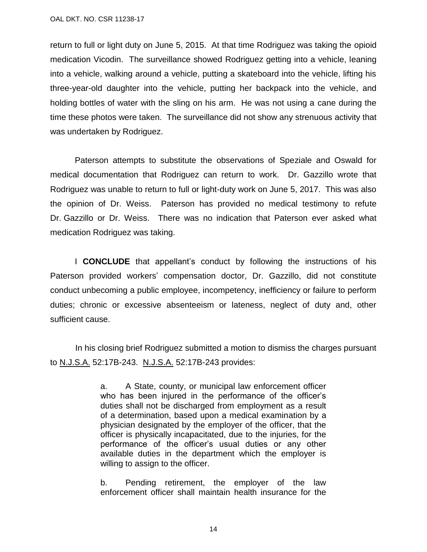return to full or light duty on June 5, 2015. At that time Rodriguez was taking the opioid medication Vicodin. The surveillance showed Rodriguez getting into a vehicle, leaning into a vehicle, walking around a vehicle, putting a skateboard into the vehicle, lifting his three-year-old daughter into the vehicle, putting her backpack into the vehicle, and holding bottles of water with the sling on his arm. He was not using a cane during the time these photos were taken. The surveillance did not show any strenuous activity that was undertaken by Rodriguez.

Paterson attempts to substitute the observations of Speziale and Oswald for medical documentation that Rodriguez can return to work. Dr. Gazzillo wrote that Rodriguez was unable to return to full or light-duty work on June 5, 2017. This was also the opinion of Dr. Weiss. Paterson has provided no medical testimony to refute Dr. Gazzillo or Dr. Weiss. There was no indication that Paterson ever asked what medication Rodriguez was taking.

I **CONCLUDE** that appellant's conduct by following the instructions of his Paterson provided workers' compensation doctor, Dr. Gazzillo, did not constitute conduct unbecoming a public employee, incompetency, inefficiency or failure to perform duties; chronic or excessive absenteeism or lateness, neglect of duty and, other sufficient cause.

In his closing brief Rodriguez submitted a motion to dismiss the charges pursuant to N.J.S.A. 52:17B-243. N.J.S.A. 52:17B-243 provides:

> a. A State, county, or municipal law enforcement officer who has been injured in the performance of the officer's duties shall not be discharged from employment as a result of a determination, based upon a medical examination by a physician designated by the employer of the officer, that the officer is physically incapacitated, due to the injuries, for the performance of the officer's usual duties or any other available duties in the department which the employer is willing to assign to the officer.

> b. Pending retirement, the employer of the law enforcement officer shall maintain health insurance for the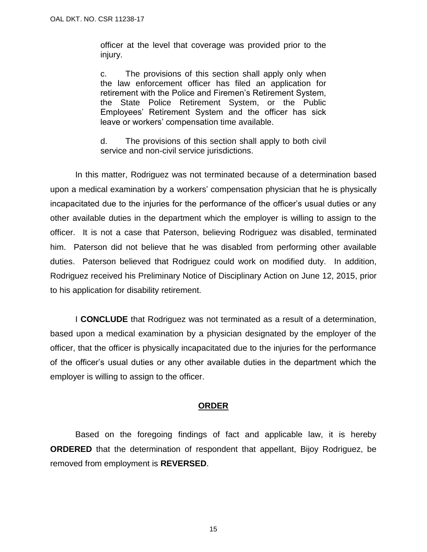officer at the level that coverage was provided prior to the injury.

c. The provisions of this section shall apply only when the law enforcement officer has filed an application for retirement with the Police and Firemen's Retirement System, the State Police Retirement System, or the Public Employees' Retirement System and the officer has sick leave or workers' compensation time available.

d. The provisions of this section shall apply to both civil service and non-civil service jurisdictions.

In this matter, Rodriguez was not terminated because of a determination based upon a medical examination by a workers' compensation physician that he is physically incapacitated due to the injuries for the performance of the officer's usual duties or any other available duties in the department which the employer is willing to assign to the officer. It is not a case that Paterson, believing Rodriguez was disabled, terminated him. Paterson did not believe that he was disabled from performing other available duties. Paterson believed that Rodriguez could work on modified duty. In addition, Rodriguez received his Preliminary Notice of Disciplinary Action on June 12, 2015, prior to his application for disability retirement.

I **CONCLUDE** that Rodriguez was not terminated as a result of a determination, based upon a medical examination by a physician designated by the employer of the officer, that the officer is physically incapacitated due to the injuries for the performance of the officer's usual duties or any other available duties in the department which the employer is willing to assign to the officer.

### **ORDER**

Based on the foregoing findings of fact and applicable law, it is hereby **ORDERED** that the determination of respondent that appellant, Bijoy Rodriguez, be removed from employment is **REVERSED**.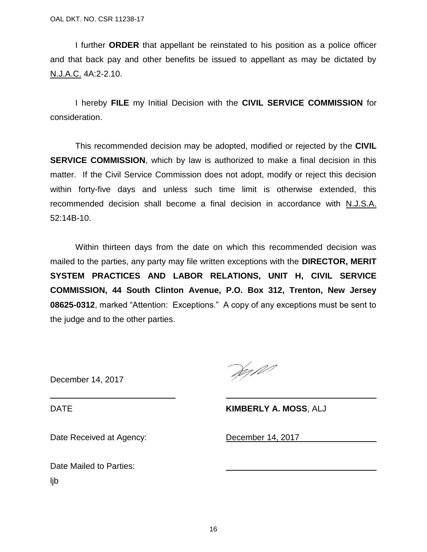I further **ORDER** that appellant be reinstated to his position as a police officer and that back pay and other benefits be issued to appellant as may be dictated by N.J.A.C. 4A:2-2.10.

I hereby **FILE** my Initial Decision with the **CIVIL SERVICE COMMISSION** for consideration.

This recommended decision may be adopted, modified or rejected by the **CIVIL SERVICE COMMISSION**, which by law is authorized to make a final decision in this matter. If the Civil Service Commission does not adopt, modify or reject this decision within forty-five days and unless such time limit is otherwise extended, this recommended decision shall become a final decision in accordance with N.J.S.A. 52:14B-10.

Within thirteen days from the date on which this recommended decision was mailed to the parties, any party may file written exceptions with the **DIRECTOR, MERIT SYSTEM PRACTICES AND LABOR RELATIONS, UNIT H, CIVIL SERVICE COMMISSION, 44 South Clinton Avenue, P.O. Box 312, Trenton, New Jersey 08625-0312**, marked "Attention: Exceptions." A copy of any exceptions must be sent to the judge and to the other parties.

December 14, 2017

Ver 101

DATE **KIMBERLY A. MOSS**, ALJ

Date Received at Agency: December 14, 2017

Date Mailed to Parties: ljb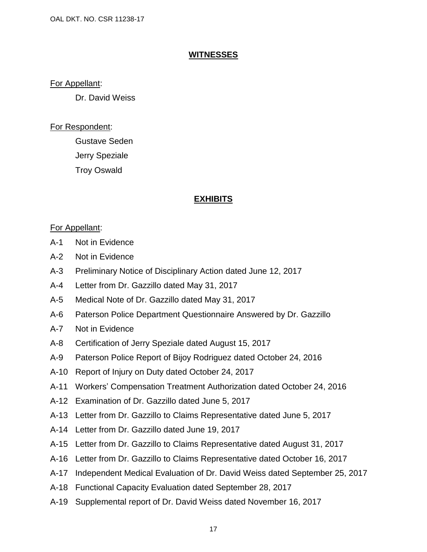### **WITNESSES**

### For Appellant:

Dr. David Weiss

# For Respondent:

Gustave Seden Jerry Speziale Troy Oswald

# **EXHIBITS**

# For Appellant:

- A-1 Not in Evidence
- A-2 Not in Evidence
- A-3 Preliminary Notice of Disciplinary Action dated June 12, 2017
- A-4 Letter from Dr. Gazzillo dated May 31, 2017
- A-5 Medical Note of Dr. Gazzillo dated May 31, 2017
- A-6 Paterson Police Department Questionnaire Answered by Dr. Gazzillo
- A-7 Not in Evidence
- A-8 Certification of Jerry Speziale dated August 15, 2017
- A-9 Paterson Police Report of Bijoy Rodriguez dated October 24, 2016
- A-10 Report of Injury on Duty dated October 24, 2017
- A-11 Workers' Compensation Treatment Authorization dated October 24, 2016
- A-12 Examination of Dr. Gazzillo dated June 5, 2017
- A-13 Letter from Dr. Gazzillo to Claims Representative dated June 5, 2017
- A-14 Letter from Dr. Gazzillo dated June 19, 2017
- A-15 Letter from Dr. Gazzillo to Claims Representative dated August 31, 2017
- A-16 Letter from Dr. Gazzillo to Claims Representative dated October 16, 2017
- A-17 Independent Medical Evaluation of Dr. David Weiss dated September 25, 2017
- A-18 Functional Capacity Evaluation dated September 28, 2017
- A-19 Supplemental report of Dr. David Weiss dated November 16, 2017